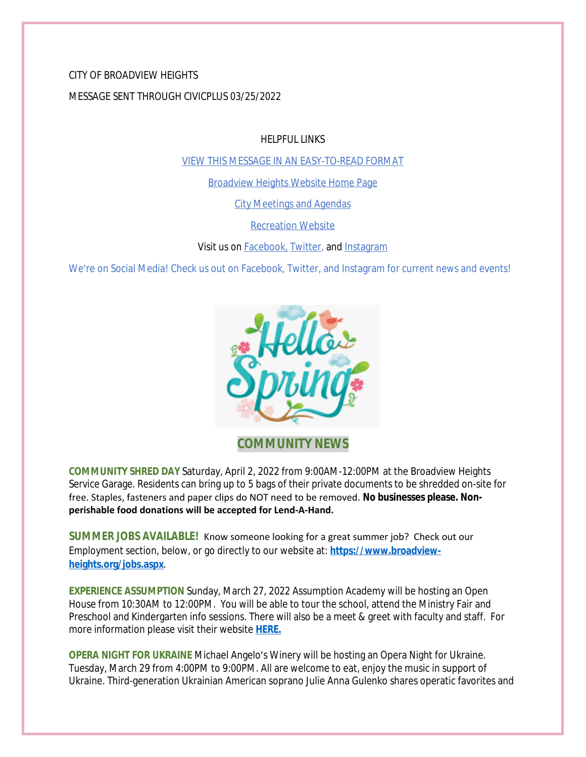CITY OF BROADVIEW HEIGHTS MESSAGE SENT THROUGH CIVICPLUS 03/25/2022

HELPFUL LINKS

[VIEW THIS MESSAGE IN AN EASY-TO-READ FORMAT](https://www.broadview-heights.org/Archive.aspx?AMID=37)

[Broadview Heights Website Home Page](https://www.broadview-heights.org/)

[City Meetings and Agendas](https://www.broadview-heights.org/1126/Agendas-Meeting-Minutes)

[Recreation Website](https://broadview-heights.org/292/Parks-Recreation)

Visit us on **Facebook**, [Twitter,](https://twitter.com/broadviewhts) and [Instagram](https://www.instagram.com/cityofbroadviewheights/)

We're on Social Media! Check us out on Facebook, Twitter, and Instagram for current news and events!



**COMMUNITY NEWS**

**COMMUNITY SHRED DAY** Saturday, April 2, 2022 from 9:00AM-12:00PM at the Broadview Heights Service Garage. Residents can bring up to 5 bags of their private documents to be shredded on-site for free. Staples, fasteners and paper clips do NOT need to be removed. **No businesses please. Nonperishable food donations will be accepted for Lend-A-Hand.** 

**SUMMER JOBS AVAILABLE!** Know someone looking for a great summer job? Check out our Employment section, below, or go directly to our website at: **[https://www.broadview](https://www.broadview-heights.org/jobs.aspx)heights.org/jobs.aspx**.

**EXPERIENCE ASSUMPTION** Sunday, March 27, 2022 Assumption Academy will be hosting an Open House from 10:30AM to 12:00PM. You will be able to tour the school, attend the Ministry Fair and Preschool and Kindergarten info sessions. There will also be a meet & greet with faculty and staff. For more information please visit their website **[HERE.](https://www.assumptionacademy.org/)**

**OPERA NIGHT FOR UKRAINE** Michael Angelo's Winery will be hosting an Opera Night for Ukraine. Tuesday, March 29 from 4:00PM to 9:00PM. All are welcome to eat, enjoy the music in support of Ukraine. Third-generation Ukrainian American soprano Julie Anna Gulenko shares operatic favorites and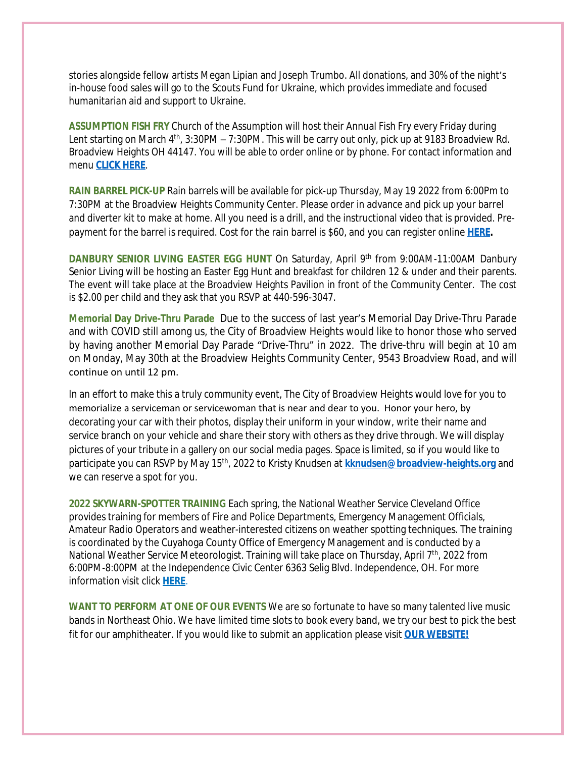stories alongside fellow artists Megan Lipian and Joseph Trumbo. All donations, and 30% of the night's in-house food sales will go to the Scouts Fund for Ukraine, which provides immediate and focused humanitarian aid and support to Ukraine.

**ASSUMPTION FISH FRY** Church of the Assumption will host their Annual Fish Fry every Friday during Lent starting on March 4<sup>th</sup>, 3:30PM – 7:30PM. This will be carry out only, pick up at 9183 Broadview Rd. Broadview Heights OH 44147. You will be able to order online or by phone. For contact information and menu **[CLICK HERE](https://broadview-heights.org/DocumentCenter/View/9222/fishfry)**.

**RAIN BARREL PICK-UP** Rain barrels will be available for pick-up Thursday, May 19 2022 from 6:00Pm to 7:30PM at the Broadview Heights Community Center. Please order in advance and pick up your barrel and diverter kit to make at home. All you need is a drill, and the instructional video that is provided. Prepayment for the barrel is required. Cost for the rain barrel is \$60, and you can register online **[HERE](https://cuyahogaswcd.org/events/2022/05/19/rain-barrel-pick-up--broadview-heights).**

**DANBURY SENIOR LIVING EASTER EGG HUNT** On Saturday, April 9 th from 9:00AM-11:00AM Danbury Senior Living will be hosting an Easter Egg Hunt and breakfast for children 12 & under and their parents. The event will take place at the Broadview Heights Pavilion in front of the Community Center. The cost is \$2.00 per child and they ask that you RSVP at 440-596-3047.

**Memorial Day Drive-Thru Parade** Due to the success of last year's Memorial Day Drive-Thru Parade and with COVID still among us, the City of Broadview Heights would like to honor those who served by having another Memorial Day Parade "Drive-Thru" in 2022. The drive-thru will begin at 10 am on Monday, May 30th at the Broadview Heights Community Center, 9543 Broadview Road, and will continue on until 12 pm.

In an effort to make this a truly community event, The City of Broadview Heights would love for you to memorialize a serviceman or servicewoman that is near and dear to you. Honor your hero, by decorating your car with their photos, display their uniform in your window, write their name and service branch on your vehicle and share their story with others as they drive through. We will display pictures of your tribute in a gallery on our social media pages. Space is limited, so if you would like to participate you can RSVP by May 15th, 2022 to Kristy Knudsen at **[kknudsen@broadview-heights.org](mailto:kknudsen@broadview-heights.org)** and we can reserve a spot for you.

**2022 SKYWARN-SPOTTER TRAINING** Each spring, the National Weather Service Cleveland Office provides training for members of Fire and Police Departments, Emergency Management Officials, Amateur Radio Operators and weather-interested citizens on weather spotting techniques. The training is coordinated by the Cuyahoga County Office of Emergency Management and is conducted by a National Weather Service Meteorologist. Training will take place on Thursday, April 7<sup>th</sup>, 2022 from 6:00PM-8:00PM at the Independence Civic Center 6363 Selig Blvd. Independence, OH. For more information visit click **[HERE](https://ja.cuyahogacounty.us/en-US/040722-skywarn-training.aspx)**.

**WANT TO PERFORM AT ONE OF OUR EVENTS** We are so fortunate to have so many talented live music bands in Northeast Ohio. We have limited time slots to book every band, we try our best to pick the best fit for our amphitheater. If you would like to submit an application please visit **[OUR WEBSITE!](https://broadview-heights.org/FormCenter/Mayors-Office-14/Band-Inquiry-Form-122)**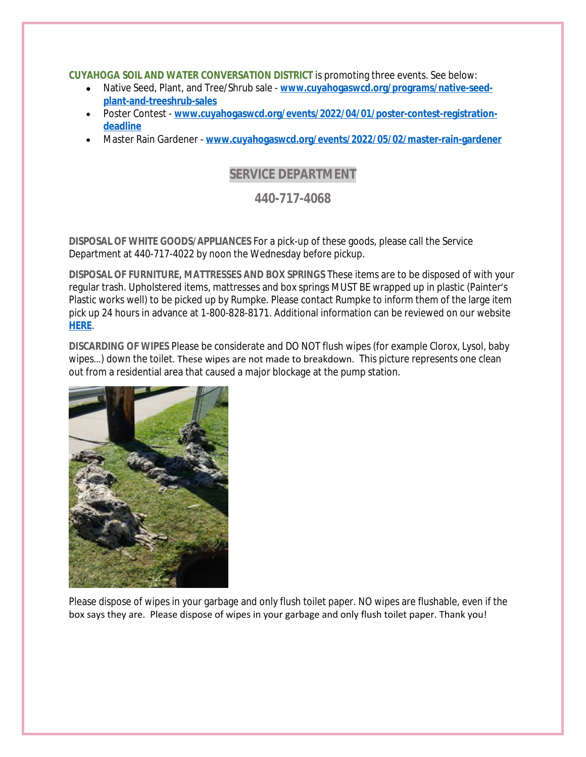#### **CUYAHOGA SOIL AND WATER CONVERSATION DISTRICT** is promoting three events. See below:

- Native Seed, Plant, and Tree/Shrub sale **[www.cuyahogaswcd.org/programs/native-seed](http://www.cuyahogaswcd.org/programs/native-seed-plant-and-treeshrub-sales)plant-and-treeshrub-sales**
- Poster Contest **[www.cuyahogaswcd.org/events/2022/04/01/poster-contest-registration](http://www.cuyahogaswcd.org/events/2022/04/01/poster-contest-registration-deadline)deadline**
- Master Rain Gardener **[www.cuyahogaswcd.org/events/2022/05/02/master-rain-gardener](http://www.cuyahogaswcd.org/events/2022/05/02/master-rain-gardener)**

# **SERVICE DEPARTMENT**

### **440-717-4068**

**DISPOSAL OF WHITE GOODS/APPLIANCES** For a pick-up of these goods, please call the Service Department at 440-717-4022 by noon the Wednesday before pickup.

**DISPOSAL OF FURNITURE, MATTRESSES AND BOX SPRINGS** These items are to be disposed of with your regular trash. Upholstered items, mattresses and box springs MUST BE wrapped up in plastic (Painter's Plastic works well) to be picked up by Rumpke. Please contact Rumpke to inform them of the large item pick up 24 hours in advance at 1-800-828-8171. Additional information can be reviewed on our website **[HERE](https://www.broadview-heights.org/1027/Garbage-Recycling)**.

**DISCARDING OF WIPES** Please be considerate and DO NOT flush wipes (for example Clorox, Lysol, baby wipes…) down the toilet. These wipes are not made to breakdown. This picture represents one clean out from a residential area that caused a major blockage at the pump station.



Please dispose of wipes in your garbage and only flush toilet paper. NO wipes are flushable, even if the box says they are. Please dispose of wipes in your garbage and only flush toilet paper. Thank you!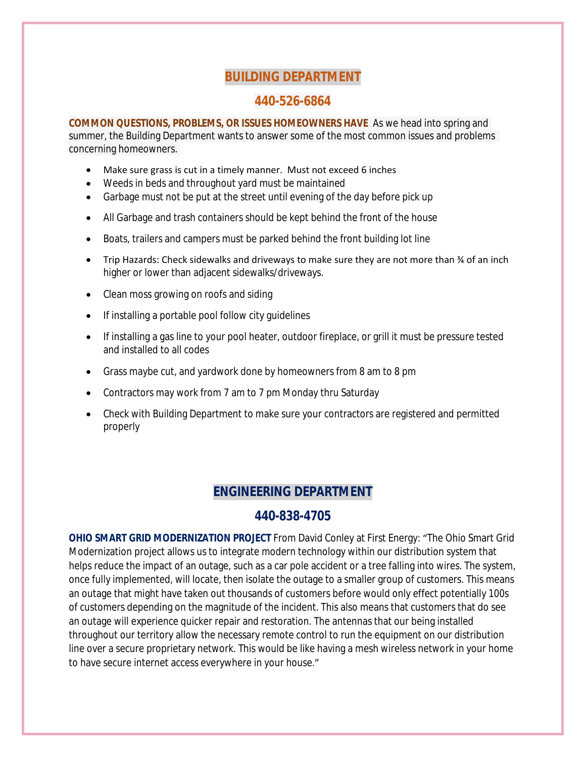# **BUILDING DEPARTMENT**

## **440-526-6864**

**COMMON QUESTIONS, PROBLEMS, OR ISSUES HOMEOWNERS HAVE** As we head into spring and summer, the Building Department wants to answer some of the most common issues and problems concerning homeowners.

- Make sure grass is cut in a timely manner. Must not exceed 6 inches
- Weeds in beds and throughout yard must be maintained
- Garbage must not be put at the street until evening of the day before pick up
- All Garbage and trash containers should be kept behind the front of the house
- Boats, trailers and campers must be parked behind the front building lot line
- Trip Hazards: Check sidewalks and driveways to make sure they are not more than ¾ of an inch higher or lower than adjacent sidewalks/driveways.
- Clean moss growing on roofs and siding
- If installing a portable pool follow city guidelines
- If installing a gas line to your pool heater, outdoor fireplace, or grill it must be pressure tested and installed to all codes
- Grass maybe cut, and yardwork done by homeowners from 8 am to 8 pm
- Contractors may work from 7 am to 7 pm Monday thru Saturday
- Check with Building Department to make sure your contractors are registered and permitted properly

# **ENGINEERING DEPARTMENT**

### **440-838-4705**

**OHIO SMART GRID MODERNIZATION PROJECT** From David Conley at First Energy: "The Ohio Smart Grid Modernization project allows us to integrate modern technology within our distribution system that helps reduce the impact of an outage, such as a car pole accident or a tree falling into wires. The system, once fully implemented, will locate, then isolate the outage to a smaller group of customers. This means an outage that might have taken out thousands of customers before would only effect potentially 100s of customers depending on the magnitude of the incident. This also means that customers that do see an outage will experience quicker repair and restoration. The antennas that our being installed throughout our territory allow the necessary remote control to run the equipment on our distribution line over a secure proprietary network. This would be like having a mesh wireless network in your home to have secure internet access everywhere in your house."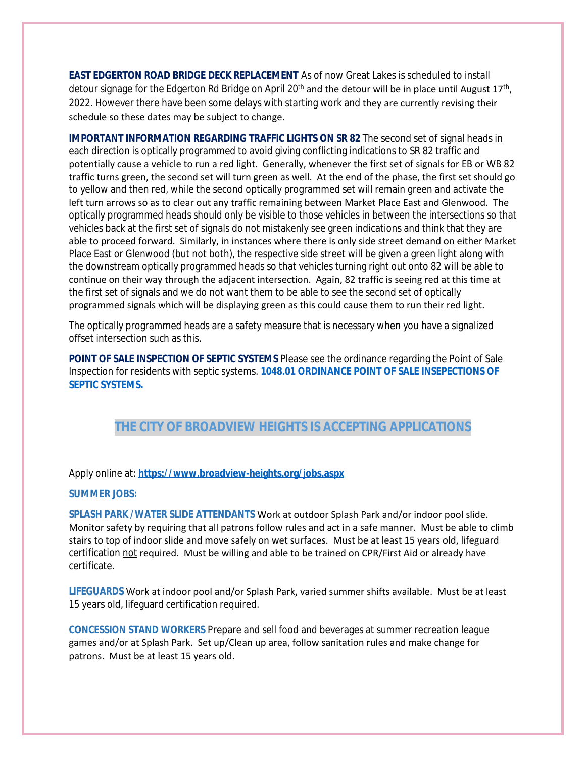**EAST EDGERTON ROAD BRIDGE DECK REPLACEMENT** As of now Great Lakes is scheduled to install detour signage for the Edgerton Rd Bridge on April 20<sup>th</sup> and the detour will be in place until August 17<sup>th</sup>, 2022. However there have been some delays with starting work and they are currently revising their schedule so these dates may be subject to change.

**IMPORTANT INFORMATION REGARDING TRAFFIC LIGHTS ON SR 82** The second set of signal heads in each direction is optically programmed to avoid giving conflicting indications to SR 82 traffic and potentially cause a vehicle to run a red light. Generally, whenever the first set of signals for EB or WB 82 traffic turns green, the second set will turn green as well. At the end of the phase, the first set should go to yellow and then red, while the second optically programmed set will remain green and activate the left turn arrows so as to clear out any traffic remaining between Market Place East and Glenwood. The optically programmed heads should only be visible to those vehicles in between the intersections so that vehicles back at the first set of signals do not mistakenly see green indications and think that they are able to proceed forward. Similarly, in instances where there is only side street demand on either Market Place East or Glenwood (but not both), the respective side street will be given a green light along with the downstream optically programmed heads so that vehicles turning right out onto 82 will be able to continue on their way through the adjacent intersection. Again, 82 traffic is seeing red at this time at the first set of signals and we do not want them to be able to see the second set of optically programmed signals which will be displaying green as this could cause them to run their red light.

The optically programmed heads are a safety measure that is necessary when you have a signalized offset intersection such as this.

**POINT OF SALE INSPECTION OF SEPTIC SYSTEMS** Please see the ordinance regarding the Point of Sale Inspection for residents with septic systems. **[1048.01 ORDINANCE POINT OF SALE INSEPECTIONS OF](https://codelibrary.amlegal.com/codes/broadviewhts/latest/broadview_oh/0-0-0-13398)  SEPTIC SYSTEMS.**

## **THE CITY OF BROADVIEW HEIGHTS IS ACCEPTING APPLICATIONS**

#### Apply online at: **<https://www.broadview-heights.org/jobs.aspx>**

#### **SUMMER JOBS:**

**SPLASH PARK /WATER SLIDE ATTENDANTS** Work at outdoor Splash Park and/or indoor pool slide. Monitor safety by requiring that all patrons follow rules and act in a safe manner. Must be able to climb stairs to top of indoor slide and move safely on wet surfaces. Must be at least 15 years old, lifeguard certification not required. Must be willing and able to be trained on CPR/First Aid or already have certificate.

**LIFEGUARDS** Work at indoor pool and/or Splash Park, varied summer shifts available. Must be at least 15 years old, lifeguard certification required.

**CONCESSION STAND WORKERS** Prepare and sell food and beverages at summer recreation league games and/or at Splash Park. Set up/Clean up area, follow sanitation rules and make change for patrons. Must be at least 15 years old.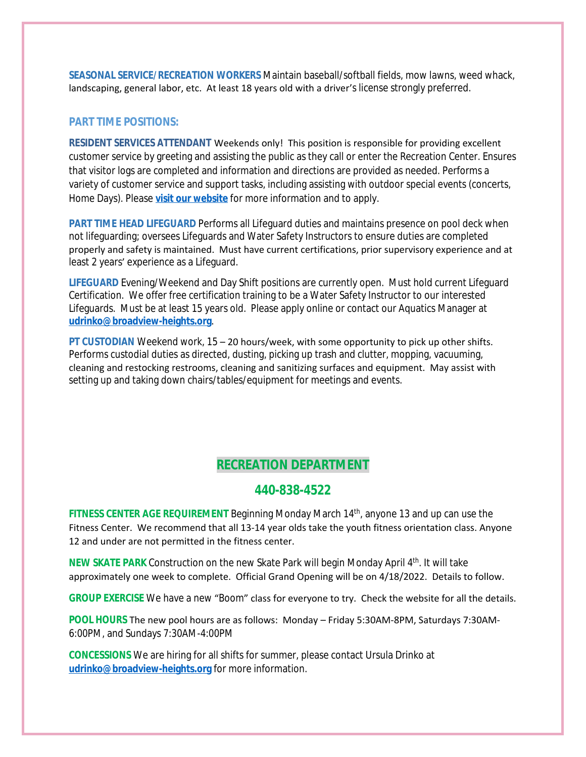**SEASONAL SERVICE/RECREATION WORKERS** Maintain baseball/softball fields, mow lawns, weed whack, landscaping, general labor, etc. At least 18 years old with a driver's license strongly preferred.

#### **PART TIME POSITIONS:**

**RESIDENT SERVICES ATTENDANT** Weekends only! This position is responsible for providing excellent customer service by greeting and assisting the public as they call or enter the Recreation Center. Ensures that visitor logs are completed and information and directions are provided as needed. Performs a variety of customer service and support tasks, including assisting with outdoor special events (concerts, Home Days). Please **[visit our website](https://www.broadview-heights.org/Jobs.aspx?UniqueId=98&From=98&CommunityJobs=False&JobID=Resident-Services-Attendant-135)** for more information and to apply.

**PART TIME HEAD LIFEGUARD** Performs all Lifeguard duties and maintains presence on pool deck when not lifeguarding; oversees Lifeguards and Water Safety Instructors to ensure duties are completed properly and safety is maintained. Must have current certifications, prior supervisory experience and at least 2 years' experience as a Lifeguard.

**LIFEGUARD** Evening/Weekend and Day Shift positions are currently open. Must hold current Lifeguard Certification. We offer free certification training to be a Water Safety Instructor to our interested Lifeguards. Must be at least 15 years old. Please apply online or contact our Aquatics Manager at **[udrinko@broadview-heights.org](mailto:udrinko@broadview-heights.org)**.

**PT CUSTODIAN** Weekend work, 15 – 20 hours/week, with some opportunity to pick up other shifts. Performs custodial duties as directed, dusting, picking up trash and clutter, mopping, vacuuming, cleaning and restocking restrooms, cleaning and sanitizing surfaces and equipment. May assist with setting up and taking down chairs/tables/equipment for meetings and events.

### **RECREATION DEPARTMENT**

### **440-838-4522**

**FITNESS CENTER AGE REQUIREMENT** Beginning Monday March 14th, anyone 13 and up can use the Fitness Center. We recommend that all 13-14 year olds take the youth fitness orientation class. Anyone 12 and under are not permitted in the fitness center.

**NEW SKATE PARK** Construction on the new Skate Park will begin Monday April 4<sup>th</sup>. It will take approximately one week to complete. Official Grand Opening will be on 4/18/2022. Details to follow.

**GROUP EXERCISE** We have a new "Boom" class for everyone to try. Check the website for all the details.

**POOL HOURS** The new pool hours are as follows: Monday – Friday 5:30AM-8PM, Saturdays 7:30AM-6:00PM, and Sundays 7:30AM-4:00PM

**CONCESSIONS** We are hiring for all shifts for summer, please contact Ursula Drinko at **[udrinko@broadview-heights.org](mailto:udrinko@broadview-heights.org)** for more information.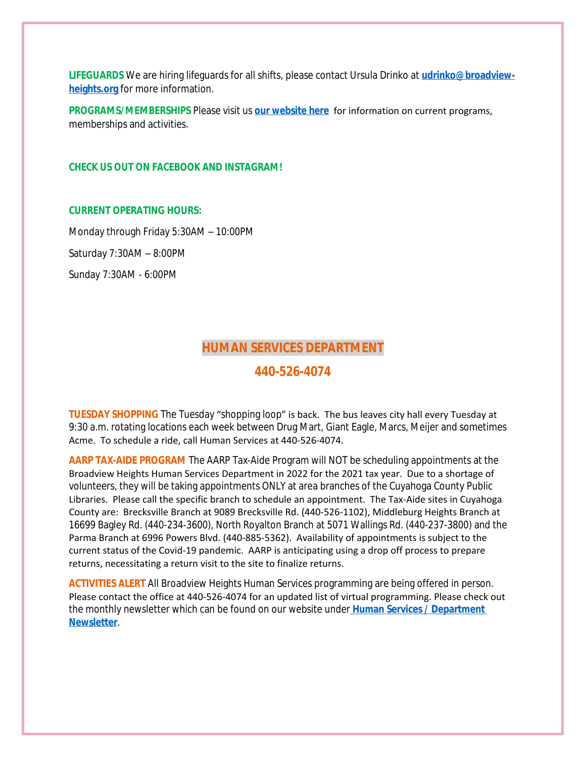**LIFEGUARDS** We are hiring lifeguards for all shifts, please contact Ursula Drinko at **[udrinko@broadview](mailto:udrinko@broadview-heights.org)heights.org** for more information.

**PROGRAMS/MEMBERSHIPS** Please visit us **[our website here](https://www.broadview-heights.org/292/Parks-Recreation)** for information on current programs, memberships and activities.

#### **CHECK US OUT ON FACEBOOK AND INSTAGRAM!**

#### **CURRENT OPERATING HOURS:**

Monday through Friday 5:30AM – 10:00PM Saturday 7:30AM – 8:00PM Sunday 7:30AM - 6:00PM

### **HUMAN SERVICES DEPARTMENT**

### **440-526-4074**

**TUESDAY SHOPPING** The Tuesday "shopping loop" is back. The bus leaves city hall every Tuesday at 9:30 a.m. rotating locations each week between Drug Mart, Giant Eagle, Marcs, Meijer and sometimes Acme. To schedule a ride, call Human Services at 440-526-4074.

**AARP TAX-AIDE PROGRAM** The AARP Tax-Aide Program will NOT be scheduling appointments at the Broadview Heights Human Services Department in 2022 for the 2021 tax year. Due to a shortage of volunteers, they will be taking appointments ONLY at area branches of the Cuyahoga County Public Libraries. Please call the specific branch to schedule an appointment. The Tax-Aide sites in Cuyahoga County are: Brecksville Branch at 9089 Brecksville Rd. (440-526-1102), Middleburg Heights Branch at 16699 Bagley Rd. (440-234-3600), North Royalton Branch at 5071 Wallings Rd. (440-237-3800) and the Parma Branch at 6996 Powers Blvd. (440-885-5362). Availability of appointments is subject to the current status of the Covid-19 pandemic. AARP is anticipating using a drop off process to prepare returns, necessitating a return visit to the site to finalize returns.

**ACTIVITIES ALERT** All Broadview Heights Human Services programming are being offered in person. Please contact the office at 440-526-4074 for an updated list of virtual programming. Please check out the monthly newsletter which can be found on our website under **[Human Services / Department](https://mycommunityonline.com/find/broadview-heights-senior-center)  Newsletter**.